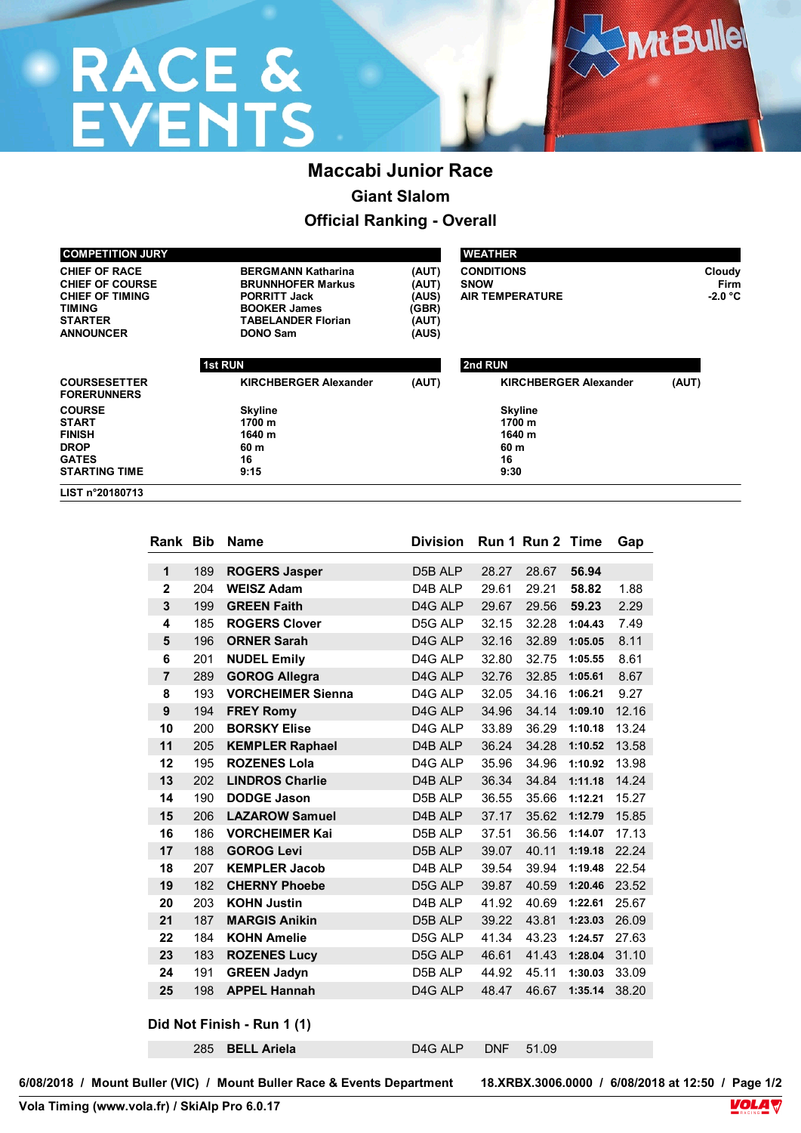# **RACE &<br>EVENTS**

## **Maccabi Junior Race Giant Slalom Official Ranking - Overall**

| <b>COMPETITION JURY</b>                                                                                                  |                                                                                                                                                     |                                                    | <b>WEATHER</b>                                             |                                    |
|--------------------------------------------------------------------------------------------------------------------------|-----------------------------------------------------------------------------------------------------------------------------------------------------|----------------------------------------------------|------------------------------------------------------------|------------------------------------|
| <b>CHIEF OF RACE</b><br><b>CHIEF OF COURSE</b><br><b>CHIEF OF TIMING</b><br>TIMING<br><b>STARTER</b><br><b>ANNOUNCER</b> | <b>BERGMANN Katharina</b><br><b>BRUNNHOFER Markus</b><br><b>PORRITT Jack</b><br><b>BOOKER James</b><br><b>TABELANDER Florian</b><br><b>DONO Sam</b> | (AUT)<br>(AUT)<br>(AUS)<br>(GBR)<br>(AUT)<br>(AUS) | <b>CONDITIONS</b><br><b>SNOW</b><br><b>AIR TEMPERATURE</b> | Cloudy<br><b>Firm</b><br>$-2.0 °C$ |
|                                                                                                                          | <b>1st RUN</b>                                                                                                                                      |                                                    | 2nd RUN                                                    |                                    |
| <b>COURSESETTER</b><br><b>FORERUNNERS</b>                                                                                | <b>KIRCHBERGER Alexander</b>                                                                                                                        | (AUT)                                              | <b>KIRCHBERGER Alexander</b>                               | (AUT)                              |
| <b>COURSE</b>                                                                                                            | <b>Skyline</b>                                                                                                                                      |                                                    | <b>Skyline</b>                                             |                                    |
| <b>START</b>                                                                                                             | 1700 m                                                                                                                                              |                                                    | 1700 m                                                     |                                    |
| <b>FINISH</b>                                                                                                            | 1640 m                                                                                                                                              |                                                    | 1640 m                                                     |                                    |
| <b>DROP</b>                                                                                                              | 60 m                                                                                                                                                |                                                    | 60 m                                                       |                                    |
| <b>GATES</b>                                                                                                             | 16                                                                                                                                                  |                                                    | 16                                                         |                                    |
| <b>STARTING TIME</b>                                                                                                     | 9:15                                                                                                                                                |                                                    | 9:30                                                       |                                    |
| LIST n°20180713                                                                                                          |                                                                                                                                                     |                                                    |                                                            |                                    |

| Rank Bib       |     | Name                     | <b>Division</b>      |       | Run 1 Run 2 Time |         | Gap   |
|----------------|-----|--------------------------|----------------------|-------|------------------|---------|-------|
|                |     |                          |                      |       |                  |         |       |
| 1              | 189 | <b>ROGERS Jasper</b>     | D5B ALP              | 28.27 | 28.67            | 56.94   |       |
| $\mathbf 2$    | 204 | <b>WEISZ Adam</b>        | D <sub>4</sub> B ALP | 29.61 | 29.21            | 58.82   | 1.88  |
| 3              | 199 | <b>GREEN Faith</b>       | D4G ALP              | 29.67 | 29.56            | 59.23   | 2.29  |
| 4              | 185 | <b>ROGERS Clover</b>     | D5G ALP              | 32.15 | 32.28            | 1:04.43 | 7.49  |
| ${\bf 5}$      | 196 | <b>ORNER Sarah</b>       | D4G ALP              | 32.16 | 32.89            | 1:05.05 | 8.11  |
| 6              | 201 | <b>NUDEL Emily</b>       | D4G ALP              | 32.80 | 32.75            | 1:05.55 | 8.61  |
| $\overline{7}$ | 289 | <b>GOROG Allegra</b>     | D4G ALP              | 32.76 | 32.85            | 1:05.61 | 8.67  |
| 8              | 193 | <b>VORCHEIMER Sienna</b> | D4G ALP              | 32.05 | 34.16            | 1:06.21 | 9.27  |
| $\mathbf{9}$   | 194 | <b>FREY Romy</b>         | D4G ALP              | 34.96 | 34.14            | 1:09.10 | 12.16 |
| 10             | 200 | <b>BORSKY Elise</b>      | D4G ALP              | 33.89 | 36.29            | 1:10.18 | 13.24 |
| 11             | 205 | <b>KEMPLER Raphael</b>   | D4B ALP              | 36.24 | 34.28            | 1:10.52 | 13.58 |
| 12             | 195 | <b>ROZENES Lola</b>      | D4G ALP              | 35.96 | 34.96            | 1:10.92 | 13.98 |
| 13             | 202 | <b>LINDROS Charlie</b>   | D4B ALP              | 36.34 | 34.84            | 1:11.18 | 14.24 |
| 14             | 190 | <b>DODGE Jason</b>       | D5B ALP              | 36.55 | 35.66            | 1:12.21 | 15.27 |
| 15             | 206 | <b>LAZAROW Samuel</b>    | D4B ALP              | 37.17 | 35.62            | 1:12.79 | 15.85 |
| 16             | 186 | <b>VORCHEIMER Kai</b>    | D5B ALP              | 37.51 | 36.56            | 1:14.07 | 17.13 |
| 17             | 188 | <b>GOROG Levi</b>        | D5B ALP              | 39.07 | 40.11            | 1:19.18 | 22.24 |
| 18             | 207 | <b>KEMPLER Jacob</b>     | D <sub>4</sub> B ALP | 39.54 | 39.94            | 1:19.48 | 22.54 |
| 19             | 182 | <b>CHERNY Phoebe</b>     | D5G ALP              | 39.87 | 40.59            | 1:20.46 | 23.52 |
| 20             | 203 | <b>KOHN Justin</b>       | D4B ALP              | 41.92 | 40.69            | 1:22.61 | 25.67 |
| 21             | 187 | <b>MARGIS Anikin</b>     | D5B ALP              | 39.22 | 43.81            | 1:23.03 | 26.09 |
| 22             | 184 | <b>KOHN Amelie</b>       | D5G ALP              | 41.34 | 43.23            | 1:24.57 | 27.63 |
| 23             | 183 | <b>ROZENES Lucy</b>      | D5G ALP              | 46.61 | 41.43            | 1:28.04 | 31.10 |
| 24             | 191 | <b>GREEN Jadyn</b>       | D5B ALP              | 44.92 | 45.11            | 1:30.03 | 33.09 |
| 25             | 198 | <b>APPEL Hannah</b>      | D4G ALP              | 48.47 | 46.67            | 1:35.14 | 38.20 |
|                |     |                          |                      |       |                  |         |       |

**Did Not Finish - Run 1 (1)**

| 285 BELL Ariela |  |
|-----------------|--|
|                 |  |

**D4G ALP DNF 51.09** 

**6/08/2018 / Mount Buller (VIC) / Mount Buller Race & Events Department 18.XRBX.3006.0000 / 6/08/2018 at 12:50 / Page 1/2**

**MtBuller** 

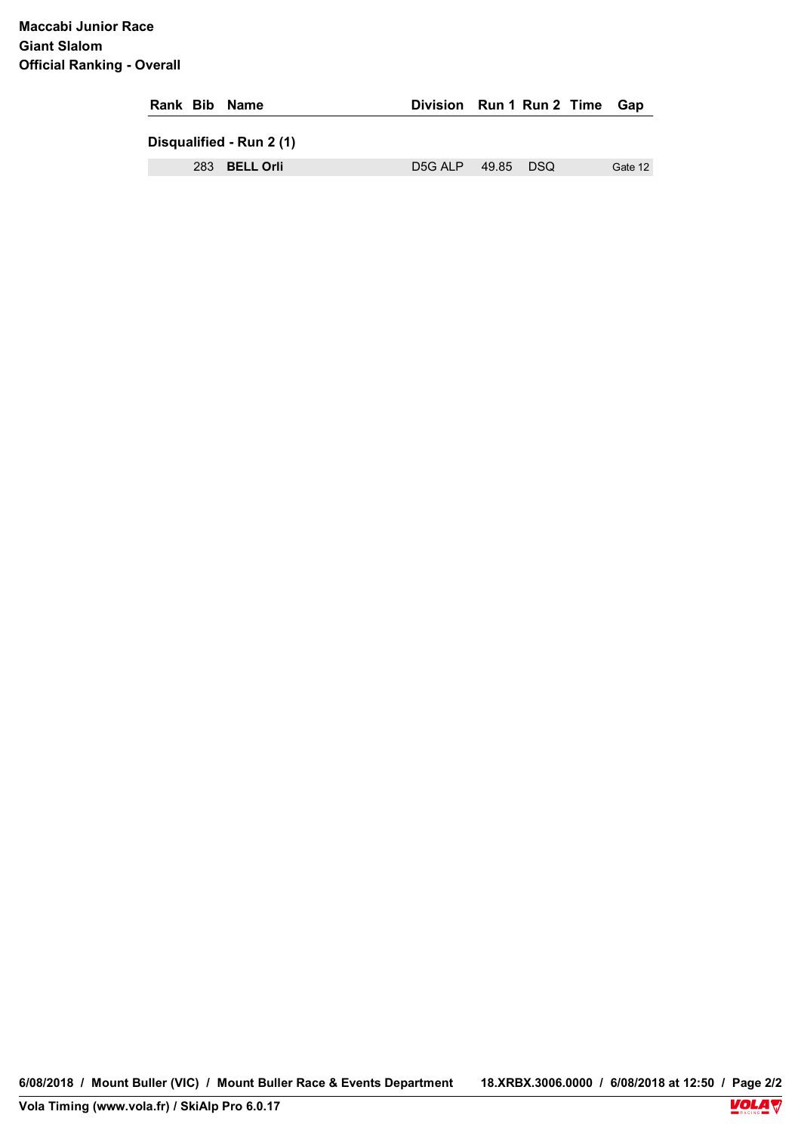### **Maccabi Junior Race Giant Slalom Official Ranking - Overall**

| Rank Bib Name            | Division Run 1 Run 2 Time Gap |  |  |  |         |  |  |  |
|--------------------------|-------------------------------|--|--|--|---------|--|--|--|
| Disqualified - Run 2 (1) |                               |  |  |  |         |  |  |  |
| 283 BELL Orli            | D5G ALP 49.85 DSQ             |  |  |  | Gate 12 |  |  |  |

18.XRBX.3006.0000 / 6/08/2018 at 12:50 / Page 2/2<br>**VOLA 6/08/2018 / Mount Buller (VIC) / Mount Buller Race & Events Department 18.XRBX.3006.0000 / 6/08/2018 at 12:50 / Page 2/2**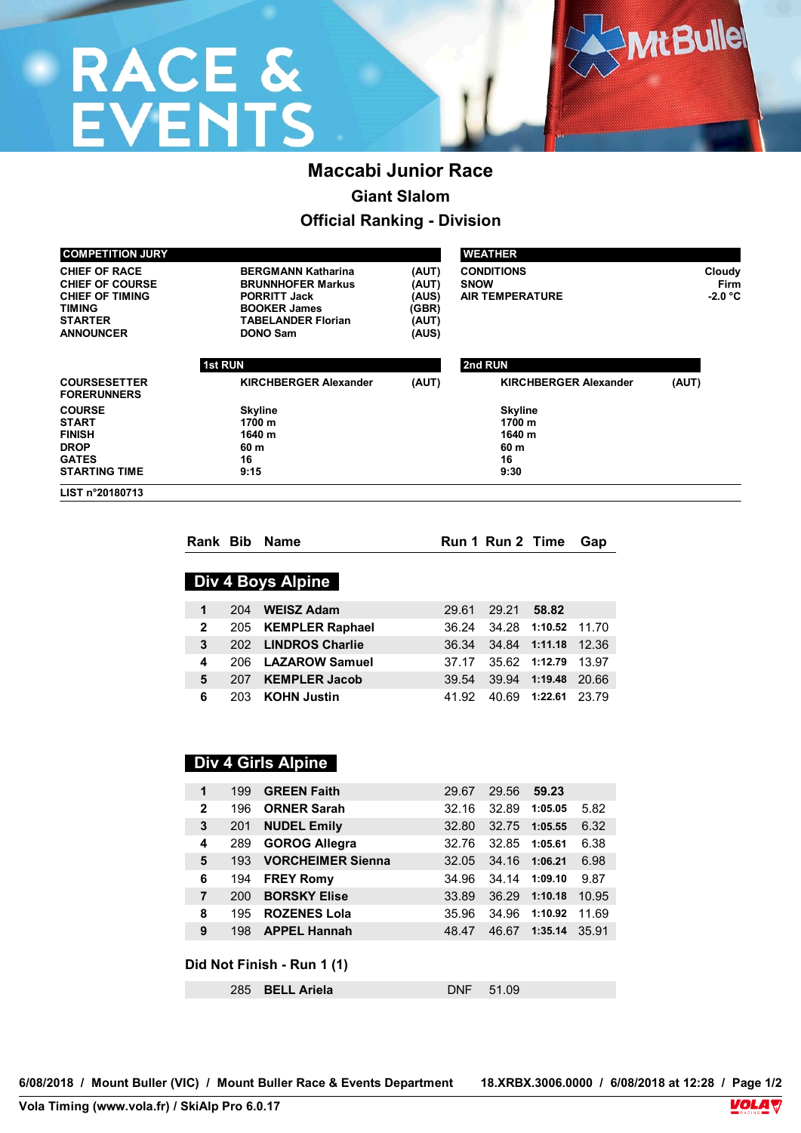# **RACE &<br>EVENTS**

## **Maccabi Junior Race Giant Slalom Official Ranking - Division**

| <b>COMPETITION JURY</b>                                                                                                         |                                                                                                                                                     | <b>WEATHER</b>                                                                                                   |                              |                                    |  |
|---------------------------------------------------------------------------------------------------------------------------------|-----------------------------------------------------------------------------------------------------------------------------------------------------|------------------------------------------------------------------------------------------------------------------|------------------------------|------------------------------------|--|
| <b>CHIEF OF RACE</b><br><b>CHIEF OF COURSE</b><br><b>CHIEF OF TIMING</b><br><b>TIMING</b><br><b>STARTER</b><br><b>ANNOUNCER</b> | <b>BERGMANN Katharina</b><br><b>BRUNNHOFER Markus</b><br><b>PORRITT Jack</b><br><b>BOOKER James</b><br><b>TABELANDER Florian</b><br><b>DONO Sam</b> | (AUT)<br><b>CONDITIONS</b><br><b>SNOW</b><br>(AUT)<br><b>AIR TEMPERATURE</b><br>(AUS)<br>(GBR)<br>(AUT)<br>(AUS) |                              | Cloudy<br><b>Firm</b><br>$-2.0 °C$ |  |
|                                                                                                                                 | <b>1st RUN</b>                                                                                                                                      |                                                                                                                  | 2nd RUN                      |                                    |  |
| <b>COURSESETTER</b><br><b>FORERUNNERS</b>                                                                                       | <b>KIRCHBERGER Alexander</b>                                                                                                                        | (AUT)                                                                                                            | <b>KIRCHBERGER Alexander</b> | (AUT)                              |  |
| <b>COURSE</b>                                                                                                                   | <b>Skyline</b>                                                                                                                                      |                                                                                                                  | <b>Skyline</b>               |                                    |  |
| <b>START</b>                                                                                                                    | 1700 m                                                                                                                                              |                                                                                                                  | 1700 m                       |                                    |  |
| <b>FINISH</b>                                                                                                                   | 1640 m                                                                                                                                              |                                                                                                                  | 1640 m                       |                                    |  |
| <b>DROP</b>                                                                                                                     | 60 m                                                                                                                                                |                                                                                                                  | 60 m                         |                                    |  |
| <b>GATES</b>                                                                                                                    | 16                                                                                                                                                  |                                                                                                                  | 16                           |                                    |  |
| <b>STARTING TIME</b>                                                                                                            | 9:15                                                                                                                                                |                                                                                                                  | 9:30                         |                                    |  |
| LIST n°20180713                                                                                                                 |                                                                                                                                                     |                                                                                                                  |                              |                                    |  |

|  | Rank Bib Name | Run 1 Run 2 Time Gap |  |
|--|---------------|----------------------|--|
|  |               |                      |  |

|              |     | Div 4 Boys Alpine    |       |       |                     |       |
|--------------|-----|----------------------|-------|-------|---------------------|-------|
|              | 204 | <b>WEISZ Adam</b>    | 29.61 | 29.21 | 58.82               |       |
| $\mathbf{2}$ |     | 205 KEMPLER Raphael  | 36.24 | 34.28 | 1:10.52 11.70       |       |
| 3            |     | 202 LINDROS Charlie  | 36.34 |       | 34.84 1:11.18 12.36 |       |
| 4            |     | 206 LAZAROW Samuel   | 37.17 |       | 35.62 1:12.79 13.97 |       |
| 5            | 207 | <b>KEMPLER Jacob</b> | 39.54 | 39.94 | 1:19.48             | 20.66 |
| 6            | 203 | <b>KOHN Justin</b>   | 41.92 | 40.69 | 1:22.61             | 23.79 |

| Div 4 Girls Alpine |
|--------------------|
|--------------------|

| 1                          | 199 | <b>GREEN Faith</b>       | 29.67      | 29.56 | 59.23   |       |  |
|----------------------------|-----|--------------------------|------------|-------|---------|-------|--|
| $\mathbf{2}$               | 196 | <b>ORNER Sarah</b>       | 32.16      | 32.89 | 1:05.05 | 5.82  |  |
| 3                          | 201 | <b>NUDEL Emily</b>       | 32.80      | 32.75 | 1:05.55 | 6.32  |  |
| 4                          | 289 | <b>GOROG Allegra</b>     | 32.76      | 32.85 | 1:05.61 | 6.38  |  |
| 5                          | 193 | <b>VORCHEIMER Sienna</b> | 32.05      | 34.16 | 1:06.21 | 6.98  |  |
| 6                          | 194 | <b>FREY Romy</b>         | 34.96      | 34.14 | 1:09.10 | 9.87  |  |
| $\overline{7}$             | 200 | <b>BORSKY Elise</b>      | 33.89      | 36.29 | 1:10.18 | 10.95 |  |
| 8                          | 195 | <b>ROZENES Lola</b>      | 35.96      | 34.96 | 1:10.92 | 11.69 |  |
| 9                          | 198 | <b>APPEL Hannah</b>      | 48.47      | 46.67 | 1:35.14 | 35.91 |  |
|                            |     |                          |            |       |         |       |  |
| Did Not Finish - Run 1 (1) |     |                          |            |       |         |       |  |
|                            | 285 | <b>BELL Ariela</b>       | <b>DNF</b> | 51.09 |         |       |  |
|                            |     |                          |            |       |         |       |  |

**6/08/2018 / Mount Buller (VIC) / Mount Buller Race & Events Department 18.XRBX.3006.0000 / 6/08/2018 at 12:28 / Page 1/2**

**MtBullel**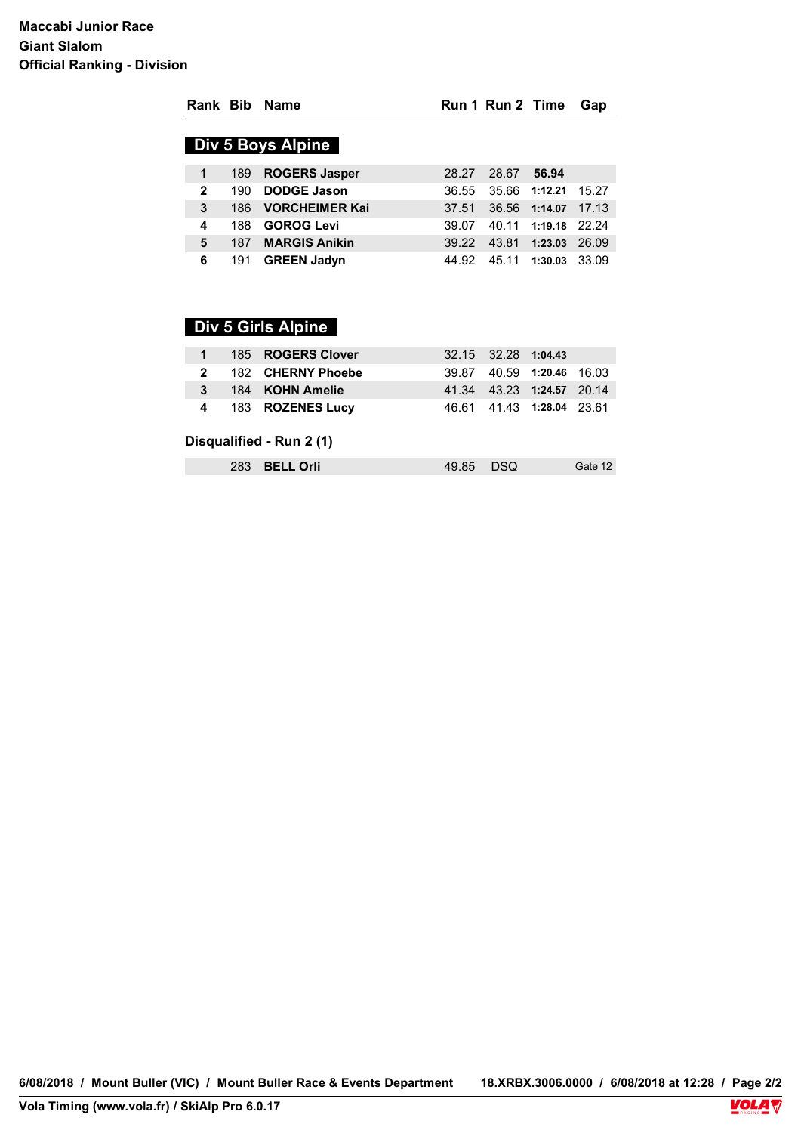| Rank Bib     |     | <b>Name</b>              |       | Run 1 Run 2 Time |                     | Gap   |
|--------------|-----|--------------------------|-------|------------------|---------------------|-------|
|              |     | <b>Div 5 Boys Alpine</b> |       |                  |                     |       |
| 1            | 189 | <b>ROGERS Jasper</b>     | 28.27 | 28.67            | 56.94               |       |
| $\mathbf{2}$ | 190 | <b>DODGE Jason</b>       | 36.55 |                  | 35.66 1:12.21 15.27 |       |
| 3            | 186 | <b>VORCHEIMER Kai</b>    | 37.51 |                  | 36.56 1:14.07       | 17.13 |
| 4            | 188 | <b>GOROG Levi</b>        | 39.07 |                  | 40.11 1:19.18 22.24 |       |
| 5            | 187 | <b>MARGIS Anikin</b>     | 39.22 |                  | 43.81 1:23.03 26.09 |       |
| 6            | 191 | <b>GREEN Jadyn</b>       | 44.92 | 45.11            | 1:30.03 33.09       |       |
|              |     |                          |       |                  |                     |       |

### $\sum_{i=1}^{n}$   $\sum_{i=1}^{n}$   $\sum_{i=1}^{n}$   $\sum_{i=1}^{n}$   $\sum_{i=1}^{n}$ **Div 5 Girls Alpine**

|                                  | 185 ROGERS Clover | 32.15 32.28 1:04.43       |  |
|----------------------------------|-------------------|---------------------------|--|
| 182 CHERNY Phoebe<br>$2^{\circ}$ |                   | 39.87 40.59 1:20.46 16.03 |  |
| 3 184 KOHN Amelie                |                   | 41.34 43.23 1:24.57 20.14 |  |
| 4 183 ROZENES Lucy               |                   | 46.61 41.43 1:28.04 23.61 |  |

 $\sum_{i=1}^{n} \frac{1}{i} \sum_{j=1}^{n} \frac{1}{j} \sum_{j=1}^{n} \frac{1}{j} \sum_{j=1}^{n} \frac{1}{j} \sum_{j=1}^{n} \frac{1}{j} \sum_{j=1}^{n} \frac{1}{j} \sum_{j=1}^{n} \frac{1}{j} \sum_{j=1}^{n} \frac{1}{j} \sum_{j=1}^{n} \frac{1}{j} \sum_{j=1}^{n} \frac{1}{j} \sum_{j=1}^{n} \frac{1}{j} \sum_{j=1}^{n} \frac{1}{j} \sum_{j=1}^{n} \frac{1}{j$ **Disqualified - Run 2 (1)** 

| <b>BELL Orli</b><br>283 | 49.85 | <b>DSQ</b> | Gate 12 |
|-------------------------|-------|------------|---------|
|                         |       |            |         |

18.XRBX.3006.0000 / 6/08/2018 at 12:28 / Page 2/2<br>**VOLA 6/08/2018 / Mount Buller (VIC) / Mount Buller Race & Events Department 18.XRBX.3006.0000 / 6/08/2018 at 12:28 / Page 2/2**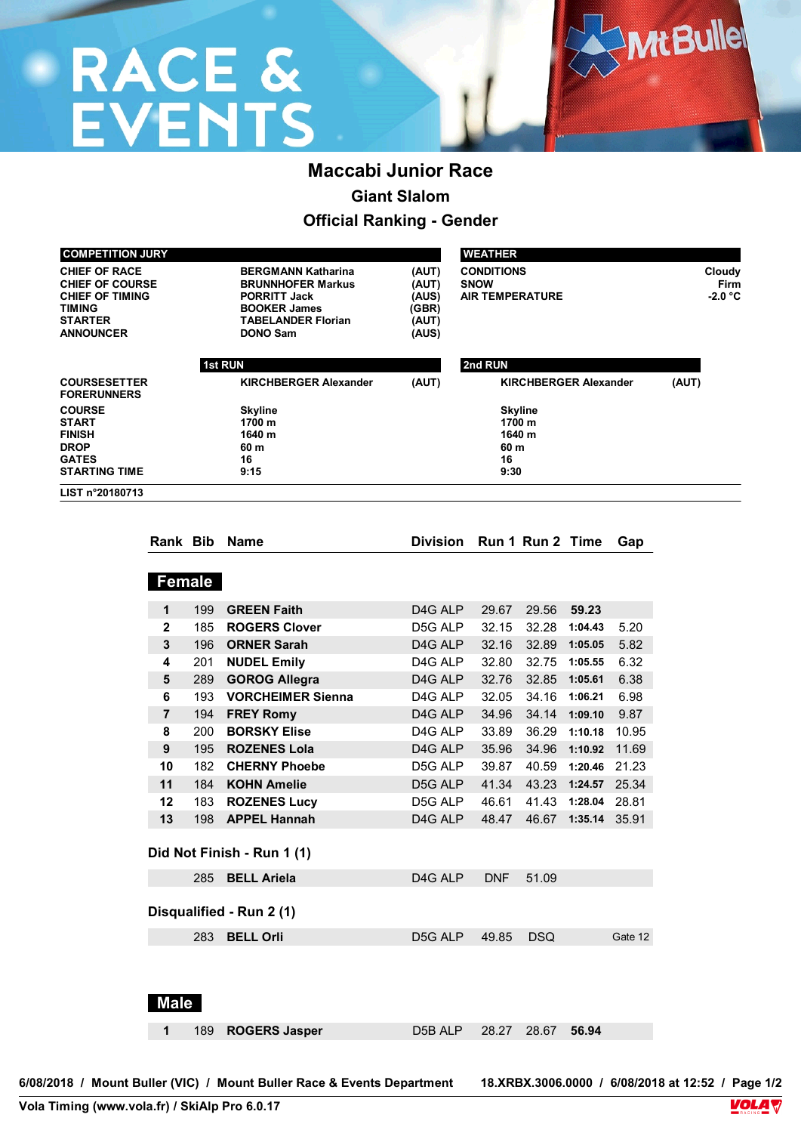# **RACE &<br>EVENTS**

## **Maccabi Junior Race Giant Slalom**

**Official Ranking - Gender**

| <b>COMPETITION JURY</b>                                                                                                         |                |               |                                                                                                                                              |                      |                                                            | <b>WEATHER</b>                                                                                                                       |               |         |  |                             |  |
|---------------------------------------------------------------------------------------------------------------------------------|----------------|---------------|----------------------------------------------------------------------------------------------------------------------------------------------|----------------------|------------------------------------------------------------|--------------------------------------------------------------------------------------------------------------------------------------|---------------|---------|--|-----------------------------|--|
| <b>CHIEF OF RACE</b><br><b>CHIEF OF COURSE</b><br><b>CHIEF OF TIMING</b><br><b>TIMING</b><br><b>STARTER</b><br><b>ANNOUNCER</b> |                |               | <b>BERGMANN Katharina</b><br><b>BRUNNHOFER Markus</b><br>PORRITT Jack<br><b>BOOKER James</b><br><b>TABELANDER Florian</b><br><b>DONO Sam</b> |                      | <b>CONDITIONS</b><br><b>SNOW</b><br><b>AIR TEMPERATURE</b> |                                                                                                                                      |               |         |  | Cloudy<br>Firm<br>$-2.0 °C$ |  |
|                                                                                                                                 |                |               | <b>1st RUN</b>                                                                                                                               | 2nd RUN              |                                                            |                                                                                                                                      |               |         |  |                             |  |
| <b>COURSESETTER</b><br><b>FORERUNNERS</b>                                                                                       |                |               | <b>KIRCHBERGER Alexander</b>                                                                                                                 | (AUT)                | <b>KIRCHBERGER Alexander</b>                               | (AUT)                                                                                                                                |               |         |  |                             |  |
| <b>COURSE</b><br><b>START</b><br><b>FINISH</b><br><b>DROP</b><br><b>GATES</b><br><b>STARTING TIME</b>                           |                |               | Skyline<br>1700 m<br>1640 m<br>60 m<br>16<br>9:15                                                                                            |                      | 60 m<br>16<br>9:30                                         | <b>Skyline</b><br>1700 m<br>1640 m                                                                                                   |               |         |  |                             |  |
| LIST n°20180713                                                                                                                 |                |               |                                                                                                                                              |                      |                                                            |                                                                                                                                      |               |         |  |                             |  |
|                                                                                                                                 |                |               | Rank Bib Name                                                                                                                                |                      | Division Run 1 Run 2 Time                                  |                                                                                                                                      |               | Gap     |  |                             |  |
|                                                                                                                                 |                | <b>Female</b> |                                                                                                                                              |                      |                                                            |                                                                                                                                      |               |         |  |                             |  |
|                                                                                                                                 | 1              | 199           | <b>GREEN Faith</b>                                                                                                                           | D <sub>4G</sub> ALP  | 29.67                                                      | 29.56                                                                                                                                | 59.23         |         |  |                             |  |
|                                                                                                                                 | $\mathbf{2}$   | 185           | <b>ROGERS Clover</b>                                                                                                                         | D5G ALP              | 32.15                                                      | 32.28                                                                                                                                | 1:04.43       | 5.20    |  |                             |  |
|                                                                                                                                 | 3              | 196           | <b>ORNER Sarah</b>                                                                                                                           | D <sub>4G</sub> ALP  | 32.16                                                      | 32.89                                                                                                                                | 1:05.05       | 5.82    |  |                             |  |
|                                                                                                                                 | 4              | 201           | <b>NUDEL Emily</b>                                                                                                                           | D <sub>4G</sub> ALP  | 32.80                                                      | 32.75                                                                                                                                | 1:05.55       | 6.32    |  |                             |  |
|                                                                                                                                 | 5              | 289           | <b>GOROG Allegra</b>                                                                                                                         | D4G ALP              | 32.76                                                      |                                                                                                                                      | 32.85 1:05.61 | 6.38    |  |                             |  |
|                                                                                                                                 | 6              | 193           | <b>VORCHEIMER Sienna</b>                                                                                                                     | D4G ALP              | 32.05                                                      | 34.16                                                                                                                                | 1:06.21       | 6.98    |  |                             |  |
|                                                                                                                                 | $\overline{7}$ | 194           | <b>FREY Romy</b>                                                                                                                             | D <sub>4</sub> G ALP | 34.96                                                      | 34.14                                                                                                                                | 1:09.10       | 9.87    |  |                             |  |
|                                                                                                                                 | 8              | 200           | <b>BORSKY Elise</b>                                                                                                                          | D <sub>4G</sub> ALP  | 33.89                                                      | 36.29                                                                                                                                | 1:10.18       | 10.95   |  |                             |  |
|                                                                                                                                 | 9              | 195           | <b>ROZENES Lola</b>                                                                                                                          | D <sub>4G</sub> ALP  | 35.96                                                      |                                                                                                                                      |               |         |  |                             |  |
|                                                                                                                                 | 10             | 182           | <b>CHERNY Phoebe</b>                                                                                                                         | D5G ALP              | 39.87                                                      |                                                                                                                                      |               |         |  |                             |  |
|                                                                                                                                 | 11<br>12       | 184           | <b>KOHN Amelie</b>                                                                                                                           | D5G ALP<br>D5G ALP   | 41.34                                                      |                                                                                                                                      |               |         |  |                             |  |
|                                                                                                                                 | 13             | 183<br>198    | <b>ROZENES Lucy</b><br><b>APPEL Hannah</b>                                                                                                   | D <sub>4G</sub> ALP  | 46.61<br>48.47                                             |                                                                                                                                      |               |         |  |                             |  |
|                                                                                                                                 |                |               |                                                                                                                                              |                      |                                                            |                                                                                                                                      |               |         |  |                             |  |
|                                                                                                                                 |                |               | Did Not Finish - Run 1 (1)                                                                                                                   |                      |                                                            | 34.96<br>1:10.92<br>11.69<br>1:20.46 21.23<br>40.59<br>43.23 1:24.57 25.34<br>41.43<br>1:28.04 28.81<br>46.67 1:35.14 35.91<br>51.09 |               |         |  |                             |  |
|                                                                                                                                 |                |               | 285 BELL Ariela                                                                                                                              | D4G ALP              | <b>DNF</b>                                                 |                                                                                                                                      |               |         |  |                             |  |
|                                                                                                                                 |                |               | Disqualified - Run 2 (1)                                                                                                                     |                      |                                                            |                                                                                                                                      |               |         |  |                             |  |
|                                                                                                                                 |                |               | 283 BELL Orli                                                                                                                                | D5G ALP              | 49.85                                                      | <b>DSQ</b>                                                                                                                           |               | Gate 12 |  |                             |  |
|                                                                                                                                 | <b>Male</b>    |               |                                                                                                                                              |                      |                                                            |                                                                                                                                      |               |         |  |                             |  |
|                                                                                                                                 | 1              | 189           | <b>ROGERS Jasper</b>                                                                                                                         | D5B ALP              | 28.27                                                      | 28.67                                                                                                                                | 56.94         |         |  |                             |  |

**6/08/2018 / Mount Buller (VIC) / Mount Buller Race & Events Department 18.XRBX.3006.0000 / 6/08/2018 at 12:52 / Page 1/2**

**MtBullel**